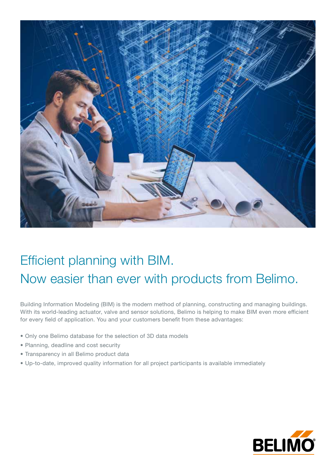

## Efficient planning with BIM. Now easier than ever with products from Belimo.

Building Information Modeling (BIM) is the modern method of planning, constructing and managing buildings. With its world-leading actuator, valve and sensor solutions, Belimo is helping to make BIM even more efficient for every field of application. You and your customers benefit from these advantages:

- Only one Belimo database for the selection of 3D data models
- Planning, deadline and cost security
- Transparency in all Belimo product data
- Up-to-date, improved quality information for all project participants is available immediately